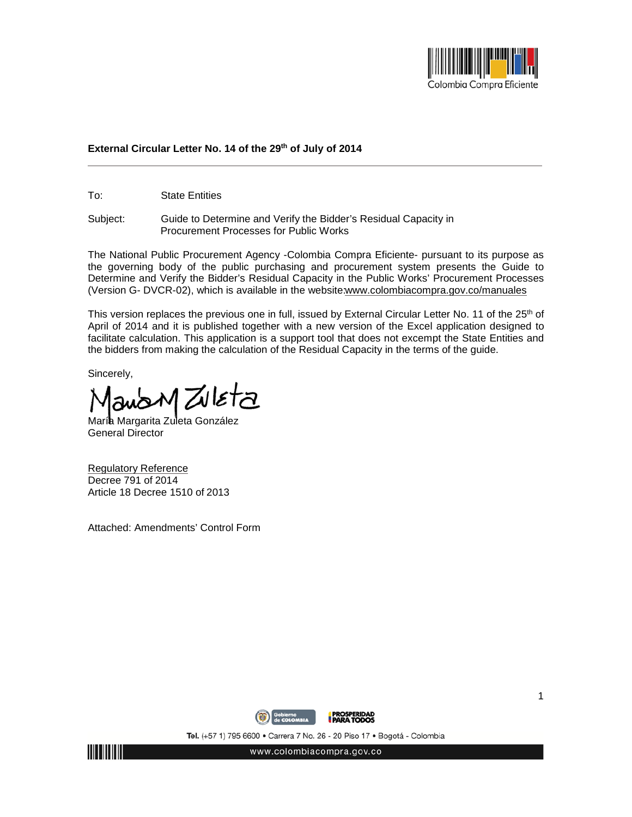

## **External Circular Letter No. 14 of the 29th of July of 2014**

To: State Entities

Subject: Guide to Determine and Verify the Bidder's Residual Capacity in Procurement Processes for Public Works

The National Public Procurement Agency -Colombia Compra Eficiente- pursuant to its purpose as the governing body of the public purchasing and procurement system presents the Guide to Determine and Verify the Bidder's Residual Capacity in the Public Works' Procurement Processes (Version G- DVCR-02), which is available in the websit[e: www.colombiacompra.gov.co/manuales](http://www.colombiacompra.gov.co/manuales)

This version replaces the previous one in full, issued by External Circular Letter No. 11 of the 25<sup>th</sup> of April of 2014 and it is published together with a new version of the Excel application designed to facilitate calculation. This application is a support tool that does not excempt the State Entities and the bidders from making the calculation of the Residual Capacity in the terms of the guide.

Sincerely,

womZuleta

Marí**a** Margarita Zuleta González General Director

Regulatory Reference Decree 791 of 2014 Article 18 Decree 1510 of 2013

Attached: Amendments' Control Form



Tel. (+57 1) 795 6600 · Carrera 7 No. 26 - 20 Piso 17 · Bogotá - Colombia



www.colombiacompra.gov.co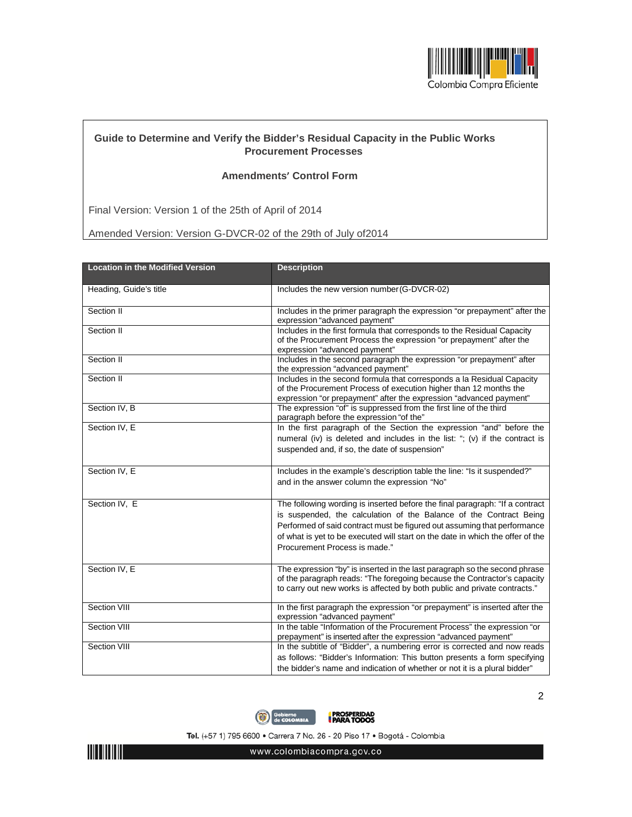

## **Guide to Determine and Verify the Bidder's Residual Capacity in the Public Works Procurement Processes**

## **Amendments' Control Form**

Final Version: Version 1 of the 25th of April of 2014

Amended Version: Version G-DVCR-02 of the 29th of July of2014

| <b>Location in the Modified Version</b> | <b>Description</b>                                                                                                                                                                                                                                                                                                                                |
|-----------------------------------------|---------------------------------------------------------------------------------------------------------------------------------------------------------------------------------------------------------------------------------------------------------------------------------------------------------------------------------------------------|
| Heading, Guide's title                  | Includes the new version number (G-DVCR-02)                                                                                                                                                                                                                                                                                                       |
| Section II                              | Includes in the primer paragraph the expression "or prepayment" after the<br>expression "advanced payment"                                                                                                                                                                                                                                        |
| Section II                              | Includes in the first formula that corresponds to the Residual Capacity<br>of the Procurement Process the expression "or prepayment" after the<br>expression "advanced payment"                                                                                                                                                                   |
| Section II                              | Includes in the second paragraph the expression "or prepayment" after<br>the expression "advanced payment"                                                                                                                                                                                                                                        |
| Section II                              | Includes in the second formula that corresponds a la Residual Capacity<br>of the Procurement Process of execution higher than 12 months the<br>expression "or prepayment" after the expression "advanced payment"                                                                                                                                 |
| Section IV, B                           | The expression "of" is suppressed from the first line of the third<br>paragraph before the expression "of the"                                                                                                                                                                                                                                    |
| Section IV, E                           | In the first paragraph of the Section the expression "and" before the<br>numeral (iv) is deleted and includes in the list: "; (v) if the contract is<br>suspended and, if so, the date of suspension"                                                                                                                                             |
| Section IV, E                           | Includes in the example's description table the line: "Is it suspended?"<br>and in the answer column the expression "No"                                                                                                                                                                                                                          |
| Section IV, E                           | The following wording is inserted before the final paragraph: "If a contract<br>is suspended, the calculation of the Balance of the Contract Being<br>Performed of said contract must be figured out assuming that performance<br>of what is yet to be executed will start on the date in which the offer of the<br>Procurement Process is made." |
| Section IV, E                           | The expression "by" is inserted in the last paragraph so the second phrase<br>of the paragraph reads: "The foregoing because the Contractor's capacity<br>to carry out new works is affected by both public and private contracts."                                                                                                               |
| <b>Section VIII</b>                     | In the first paragraph the expression "or prepayment" is inserted after the<br>expression "advanced payment"                                                                                                                                                                                                                                      |
| Section VIII                            | In the table "Information of the Procurement Process" the expression "or<br>prepayment" is inserted after the expression "advanced payment"                                                                                                                                                                                                       |
| Section VIII                            | In the subtitle of "Bidder", a numbering error is corrected and now reads<br>as follows: "Bidder's Information: This button presents a form specifying<br>the bidder's name and indication of whether or not it is a plural bidder"                                                                                                               |



Tel. (+57 1) 795 6600 · Carrera 7 No. 26 - 20 Piso 17 · Bogotá - Colombia



www.colombiacompra.gov.co